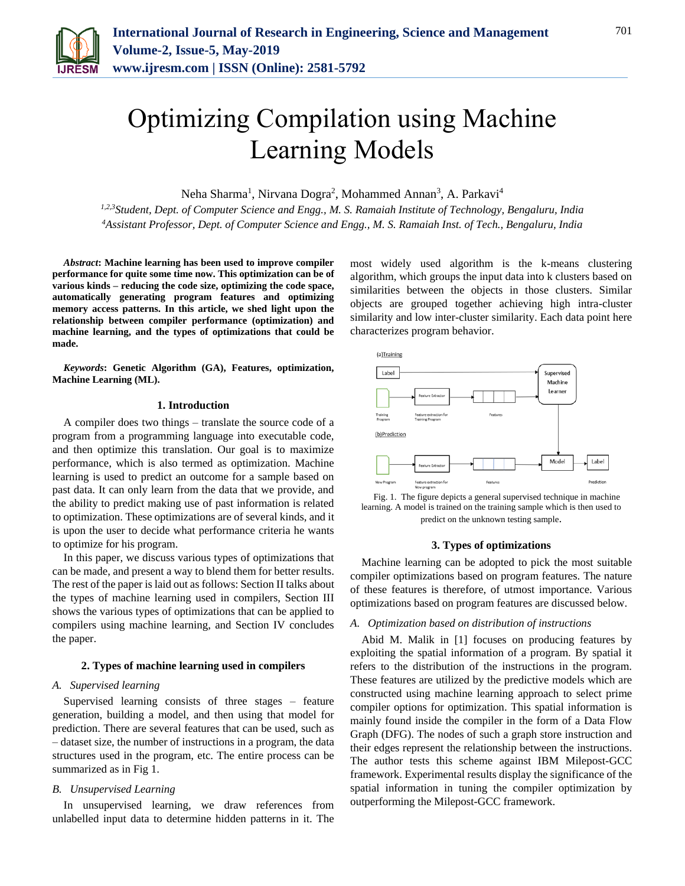

# Optimizing Compilation using Machine Learning Models

Neha Sharma<sup>1</sup>, Nirvana Dogra<sup>2</sup>, Mohammed Annan<sup>3</sup>, A. Parkavi<sup>4</sup>

*1,2,3Student, Dept. of Computer Science and Engg., M. S. Ramaiah Institute of Technology, Bengaluru, India <sup>4</sup>Assistant Professor, Dept. of Computer Science and Engg., M. S. Ramaiah Inst. of Tech., Bengaluru, India*

*Abstract***: Machine learning has been used to improve compiler performance for quite some time now. This optimization can be of various kinds – reducing the code size, optimizing the code space, automatically generating program features and optimizing memory access patterns. In this article, we shed light upon the relationship between compiler performance (optimization) and machine learning, and the types of optimizations that could be made.**

*Keywords***: Genetic Algorithm (GA), Features, optimization, Machine Learning (ML).**

## **1. Introduction**

A compiler does two things – translate the source code of a program from a programming language into executable code, and then optimize this translation. Our goal is to maximize performance, which is also termed as optimization. Machine learning is used to predict an outcome for a sample based on past data. It can only learn from the data that we provide, and the ability to predict making use of past information is related to optimization. These optimizations are of several kinds, and it is upon the user to decide what performance criteria he wants to optimize for his program.

In this paper, we discuss various types of optimizations that can be made, and present a way to blend them for better results. The rest of the paper is laid out as follows: Section II talks about the types of machine learning used in compilers, Section III shows the various types of optimizations that can be applied to compilers using machine learning, and Section IV concludes the paper.

#### **2. Types of machine learning used in compilers**

#### *A. Supervised learning*

Supervised learning consists of three stages – feature generation, building a model, and then using that model for prediction. There are several features that can be used, such as – dataset size, the number of instructions in a program, the data structures used in the program, etc. The entire process can be summarized as in Fig 1.

## *B. Unsupervised Learning*

In unsupervised learning, we draw references from unlabelled input data to determine hidden patterns in it. The most widely used algorithm is the k-means clustering algorithm, which groups the input data into k clusters based on similarities between the objects in those clusters. Similar objects are grouped together achieving high intra-cluster similarity and low inter-cluster similarity. Each data point here characterizes program behavior.



Fig. 1. The figure depicts a general supervised technique in machine learning. A model is trained on the training sample which is then used to predict on the unknown testing sample.

#### **3. Types of optimizations**

Machine learning can be adopted to pick the most suitable compiler optimizations based on program features. The nature of these features is therefore, of utmost importance. Various optimizations based on program features are discussed below.

#### *A. Optimization based on distribution of instructions*

Abid M. Malik in [1] focuses on producing features by exploiting the spatial information of a program. By spatial it refers to the distribution of the instructions in the program. These features are utilized by the predictive models which are constructed using machine learning approach to select prime compiler options for optimization. This spatial information is mainly found inside the compiler in the form of a Data Flow Graph (DFG). The nodes of such a graph store instruction and their edges represent the relationship between the instructions. The author tests this scheme against IBM Milepost-GCC framework. Experimental results display the significance of the spatial information in tuning the compiler optimization by outperforming the Milepost-GCC framework.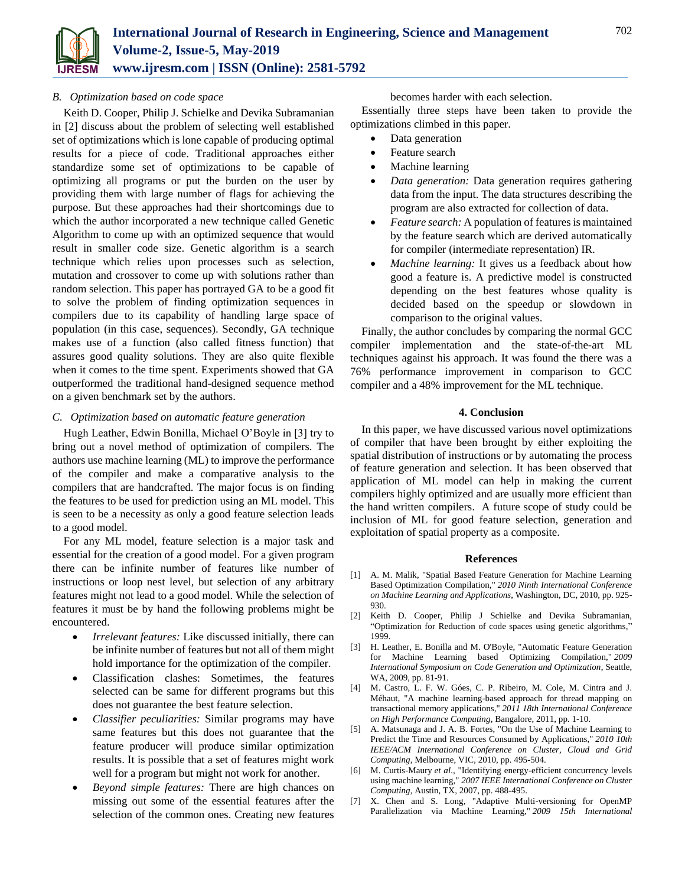

# *B. Optimization based on code space*

Keith D. Cooper, Philip J. Schielke and Devika Subramanian in [2] discuss about the problem of selecting well established set of optimizations which is lone capable of producing optimal results for a piece of code. Traditional approaches either standardize some set of optimizations to be capable of optimizing all programs or put the burden on the user by providing them with large number of flags for achieving the purpose. But these approaches had their shortcomings due to which the author incorporated a new technique called Genetic Algorithm to come up with an optimized sequence that would result in smaller code size. Genetic algorithm is a search technique which relies upon processes such as selection, mutation and crossover to come up with solutions rather than random selection. This paper has portrayed GA to be a good fit to solve the problem of finding optimization sequences in compilers due to its capability of handling large space of population (in this case, sequences). Secondly, GA technique makes use of a function (also called fitness function) that assures good quality solutions. They are also quite flexible when it comes to the time spent. Experiments showed that GA outperformed the traditional hand-designed sequence method on a given benchmark set by the authors.

# *C. Optimization based on automatic feature generation*

Hugh Leather, Edwin Bonilla, Michael O'Boyle in [3] try to bring out a novel method of optimization of compilers. The authors use machine learning (ML) to improve the performance of the compiler and make a comparative analysis to the compilers that are handcrafted. The major focus is on finding the features to be used for prediction using an ML model. This is seen to be a necessity as only a good feature selection leads to a good model.

For any ML model, feature selection is a major task and essential for the creation of a good model. For a given program there can be infinite number of features like number of instructions or loop nest level, but selection of any arbitrary features might not lead to a good model. While the selection of features it must be by hand the following problems might be encountered.

- *Irrelevant features:* Like discussed initially, there can be infinite number of features but not all of them might hold importance for the optimization of the compiler.
- Classification clashes: Sometimes, the features selected can be same for different programs but this does not guarantee the best feature selection.
- *Classifier peculiarities:* Similar programs may have same features but this does not guarantee that the feature producer will produce similar optimization results. It is possible that a set of features might work well for a program but might not work for another.
- *Beyond simple features:* There are high chances on missing out some of the essential features after the selection of the common ones. Creating new features

becomes harder with each selection.

Essentially three steps have been taken to provide the optimizations climbed in this paper.

- Data generation
- Feature search
- Machine learning
- *Data generation:* Data generation requires gathering data from the input. The data structures describing the program are also extracted for collection of data.
- *Feature search:* A population of features is maintained by the feature search which are derived automatically for compiler (intermediate representation) IR.
- *Machine learning:* It gives us a feedback about how good a feature is. A predictive model is constructed depending on the best features whose quality is decided based on the speedup or slowdown in comparison to the original values.

Finally, the author concludes by comparing the normal GCC compiler implementation and the state-of-the-art ML techniques against his approach. It was found the there was a 76% performance improvement in comparison to GCC compiler and a 48% improvement for the ML technique.

## **4. Conclusion**

In this paper, we have discussed various novel optimizations of compiler that have been brought by either exploiting the spatial distribution of instructions or by automating the process of feature generation and selection. It has been observed that application of ML model can help in making the current compilers highly optimized and are usually more efficient than the hand written compilers. A future scope of study could be inclusion of ML for good feature selection, generation and exploitation of spatial property as a composite.

#### **References**

- [1] A. M. Malik, "Spatial Based Feature Generation for Machine Learning Based Optimization Compilation," *2010 Ninth International Conference on Machine Learning and Applications*, Washington, DC, 2010, pp. 925- 930.
- [2] Keith D. Cooper, Philip J Schielke and Devika Subramanian, "Optimization for Reduction of code spaces using genetic algorithms," 1999.
- [3] H. Leather, E. Bonilla and M. O'Boyle, "Automatic Feature Generation for Machine Learning based Optimizing Compilation," *2009 International Symposium on Code Generation and Optimization*, Seattle, WA, 2009, pp. 81-91.
- [4] M. Castro, L. F. W. Góes, C. P. Ribeiro, M. Cole, M. Cintra and J. Méhaut, "A machine learning-based approach for thread mapping on transactional memory applications," *2011 18th International Conference on High Performance Computing*, Bangalore, 2011, pp. 1-10.
- [5] A. Matsunaga and J. A. B. Fortes, "On the Use of Machine Learning to Predict the Time and Resources Consumed by Applications," *2010 10th IEEE/ACM International Conference on Cluster, Cloud and Grid Computing*, Melbourne, VIC, 2010, pp. 495-504.
- [6] M. Curtis-Maury *et al*., "Identifying energy-efficient concurrency levels using machine learning," *2007 IEEE International Conference on Cluster Computing*, Austin, TX, 2007, pp. 488-495.
- [7] X. Chen and S. Long, "Adaptive Multi-versioning for OpenMP Parallelization via Machine Learning," *2009 15th International*